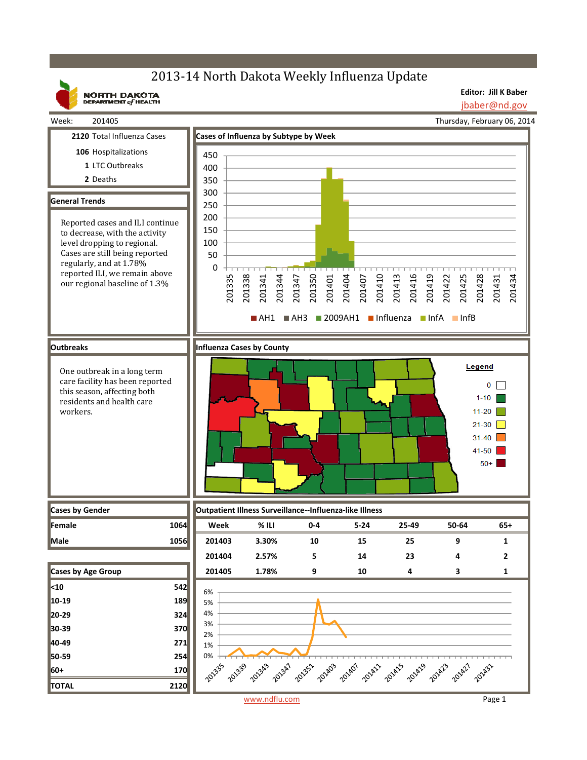# 2013-14 North Dakota Weekly Influenza Update

**NORTH DAKOTA**<br>DEPARTMENT of HEALTH

**Editor: Jill K Baber**

jbaber@nd.gov